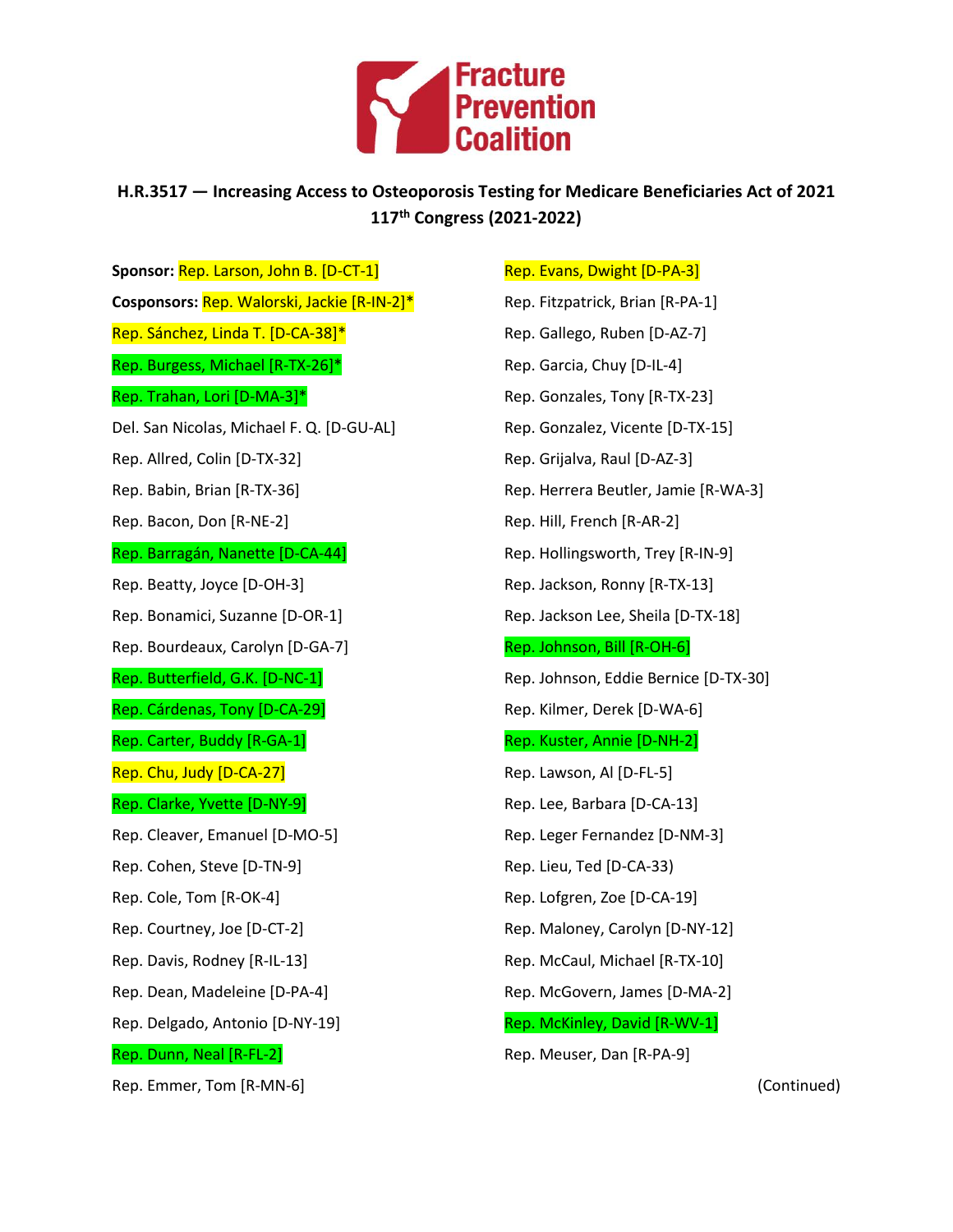

## **H.R.3517 — Increasing Access to Osteoporosis Testing for Medicare Beneficiaries Act of 2021 117 th Congress (2021-2022)**

**Sponsor:** Rep. Larson, John B. [D-CT-1] **Cosponsors:** Rep. Walorski, Jackie [R-IN-2]\* Rep. Sánchez, Linda T. [D-CA-38]\* Rep. Burgess, Michael [R-TX-26]\* Rep. Trahan, Lori [D-MA-3]\* Del. San Nicolas, Michael F. Q. [D-GU-AL] Rep. Allred, Colin [D-TX-32] Rep. Babin, Brian [R-TX-36] Rep. Bacon, Don [R-NE-2] Rep. Barragán, Nanette [D-CA-44] Rep. Beatty, Joyce [D-OH-3] Rep. Bonamici, Suzanne [D-OR-1] Rep. Bourdeaux, Carolyn [D-GA-7] Rep. Butterfield, G.K. [D-NC-1] Rep. Cárdenas, Tony [D-CA-29] Rep. Carter, Buddy [R-GA-1] Rep. Chu, Judy [D-CA-27] Rep. Clarke, Yvette [D-NY-9] Rep. Cleaver, Emanuel [D-MO-5] Rep. Cohen, Steve [D-TN-9] Rep. Cole, Tom [R-OK-4] Rep. Courtney, Joe [D-CT-2] Rep. Davis, Rodney [R-IL-13] Rep. Dean, Madeleine [D-PA-4] Rep. Delgado, Antonio [D-NY-19] Rep. Dunn, Neal [R-FL-2] Rep. Emmer, Tom [R-MN-6]

Rep. Evans, Dwight [D-PA-3]

Rep. Fitzpatrick, Brian [R-PA-1] Rep. Gallego, Ruben [D-AZ-7] Rep. Garcia, Chuy [D-IL-4] Rep. Gonzales, Tony [R-TX-23] Rep. Gonzalez, Vicente [D-TX-15] Rep. Grijalva, Raul [D-AZ-3] Rep. Herrera Beutler, Jamie [R-WA-3] Rep. Hill, French [R-AR-2] Rep. Hollingsworth, Trey [R-IN-9] Rep. Jackson, Ronny [R-TX-13] Rep. Jackson Lee, Sheila [D-TX-18] Rep. Johnson, Bill [R-OH-6] Rep. Johnson, Eddie Bernice [D-TX-30] Rep. Kilmer, Derek [D-WA-6] Rep. Kuster, Annie [D-NH-2] Rep. Lawson, Al [D-FL-5] Rep. Lee, Barbara [D-CA-13] Rep. Leger Fernandez [D-NM-3] Rep. Lieu, Ted [D-CA-33) Rep. Lofgren, Zoe [D-CA-19] Rep. Maloney, Carolyn [D-NY-12] Rep. McCaul, Michael [R-TX-10] Rep. McGovern, James [D-MA-2] Rep. McKinley, David [R-WV-1]

Rep. Meuser, Dan [R-PA-9]

(Continued)